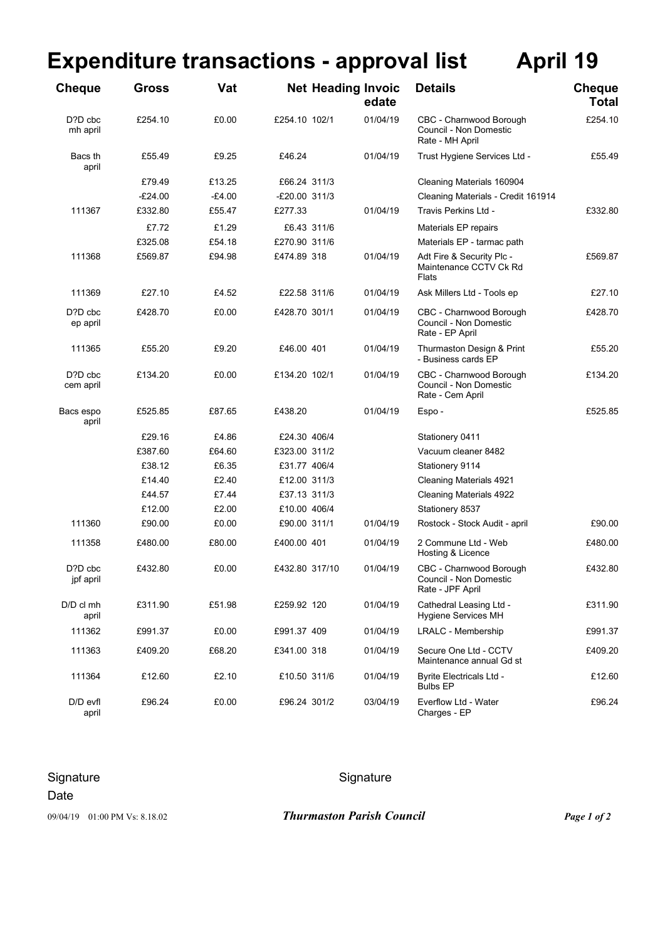## **Expenditure transactions - approval list April 19**

| <b>Cheque</b>        | <b>Gross</b> | Vat      |                 | <b>Net Heading Invoic</b> | edate    | <b>Details</b>                                                        | <b>Cheque</b><br><b>Total</b> |
|----------------------|--------------|----------|-----------------|---------------------------|----------|-----------------------------------------------------------------------|-------------------------------|
| D?D cbc<br>mh april  | £254.10      | £0.00    | £254.10 102/1   |                           | 01/04/19 | CBC - Charnwood Borough<br>Council - Non Domestic<br>Rate - MH April  | £254.10                       |
| Bacs th<br>april     | £55.49       | £9.25    | £46.24          |                           | 01/04/19 | Trust Hygiene Services Ltd -                                          | £55.49                        |
|                      | £79.49       | £13.25   | £66.24 311/3    |                           |          | Cleaning Materials 160904                                             |                               |
|                      | $-E24.00$    | $-£4.00$ | $-E20.00$ 311/3 |                           |          | Cleaning Materials - Credit 161914                                    |                               |
| 111367               | £332.80      | £55.47   | £277.33         |                           | 01/04/19 | Travis Perkins Ltd -                                                  | £332.80                       |
|                      | £7.72        | £1.29    | £6.43 311/6     |                           |          | Materials EP repairs                                                  |                               |
|                      | £325.08      | £54.18   | £270.90 311/6   |                           |          | Materials EP - tarmac path                                            |                               |
| 111368               | £569.87      | £94.98   | £474.89 318     |                           | 01/04/19 | Adt Fire & Security Plc -<br>Maintenance CCTV Ck Rd<br>Flats          | £569.87                       |
| 111369               | £27.10       | £4.52    | £22.58 311/6    |                           | 01/04/19 | Ask Millers Ltd - Tools ep                                            | £27.10                        |
| D?D cbc<br>ep april  | £428.70      | £0.00    | £428.70 301/1   |                           | 01/04/19 | CBC - Charnwood Borough<br>Council - Non Domestic<br>Rate - EP April  | £428.70                       |
| 111365               | £55.20       | £9.20    | £46.00 401      |                           | 01/04/19 | Thurmaston Design & Print<br>- Business cards EP                      | £55.20                        |
| D?D cbc<br>cem april | £134.20      | £0.00    | £134.20 102/1   |                           | 01/04/19 | CBC - Charnwood Borough<br>Council - Non Domestic<br>Rate - Cem April | £134.20                       |
| Bacs espo<br>april   | £525.85      | £87.65   | £438.20         |                           | 01/04/19 | Espo -                                                                | £525.85                       |
|                      | £29.16       | £4.86    | £24.30 406/4    |                           |          | Stationery 0411                                                       |                               |
|                      | £387.60      | £64.60   | £323.00 311/2   |                           |          | Vacuum cleaner 8482                                                   |                               |
|                      | £38.12       | £6.35    | £31.77 406/4    |                           |          | Stationery 9114                                                       |                               |
|                      | £14.40       | £2.40    | £12.00 311/3    |                           |          | Cleaning Materials 4921                                               |                               |
|                      | £44.57       | £7.44    | £37.13 311/3    |                           |          | <b>Cleaning Materials 4922</b>                                        |                               |
|                      | £12.00       | £2.00    | £10.00 406/4    |                           |          | Stationery 8537                                                       |                               |
| 111360               | £90.00       | £0.00    | £90.00 311/1    |                           | 01/04/19 | Rostock - Stock Audit - april                                         | £90.00                        |
| 111358               | £480.00      | £80.00   | £400.00 401     |                           | 01/04/19 | 2 Commune Ltd - Web<br>Hosting & Licence                              | £480.00                       |
| D?D cbc<br>jpf april | £432.80      | £0.00    | £432.80 317/10  |                           | 01/04/19 | CBC - Charnwood Borough<br>Council - Non Domestic<br>Rate - JPF April | £432.80                       |
| $D/D$ cl mh<br>april | £311.90      | £51.98   | £259.92 120     |                           | 01/04/19 | Cathedral Leasing Ltd -<br><b>Hygiene Services MH</b>                 | £311.90                       |
| 111362               | £991.37      | £0.00    | £991.37 409     |                           | 01/04/19 | <b>LRALC - Membership</b>                                             | £991.37                       |
| 111363               | £409.20      | £68.20   | £341.00 318     |                           | 01/04/19 | Secure One Ltd - CCTV<br>Maintenance annual Gd st                     | £409.20                       |
| 111364               | £12.60       | £2.10    | £10.50 311/6    |                           | 01/04/19 | <b>Byrite Electricals Ltd -</b><br><b>Bulbs EP</b>                    | £12.60                        |
| D/D evfl<br>april    | £96.24       | £0.00    | £96.24 301/2    |                           | 03/04/19 | Everflow Ltd - Water<br>Charges - EP                                  | £96.24                        |

## Signature Signature Signature Signature

## Date

09/04/19 01:00 PM Vs: 8.18.02 *Thurmaston Parish Council Page 1 of 2*